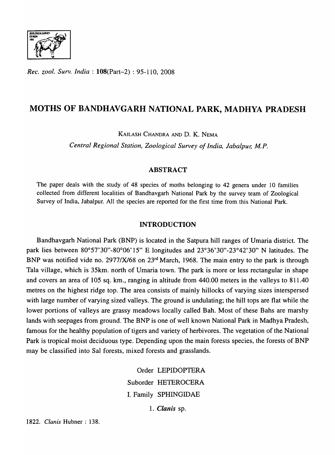

*Rec. ZOO!. Surv. India:* l08(Part-2) : 95-110, 2008

# MOTHS OF BANDHAVGARH NATIONAL PARK, MADHYA PRADESH

KAILASH CHANDRA AND D. K. NEMA

*Central Regional Station, Zoological Survey of India, Jabalpur; M.P.* 

# ABSTRACT

The paper deals with the study of 48 species of moths belonging to 42 genera under 10 families collected from different localities of Bandhavgarh National Park by the survey team of Zoological Survey of India, Jabalpur. All the species are reported for the first time from this National Park.

# INTRODUCTION

Bandhavgarh National Park (BNP) is located in the Satpura hill ranges of Umaria district. The park lies between 80°57'30"-80°06' 15" E longitudes and 23°36'30"-23°42'30" N latitudes. The BNP was notified vide no. 2977/X/68 on 23<sup>rd</sup> March, 1968. The main entry to the park is through Tala village, which is 35km. north of Umaria town. The park is more or less rectangular in shape and covers an area of 105 sq. km., ranging in altitude from 440.00 meters in the valleys to 811.40 metres on the highest ridge top. The area consists of mainly hillocks of varying sizes interspersed with large number of varying sized valleys. The ground is undulating; the hill tops are flat while the lower portions of valleys are grassy meadows locally called Bah. Most of these Bahs are marshy lands with seepages from ground. The BNP is one of well known National Park in Madhya Pradesh, famous for the healthy population of tigers and variety of herbivores. The vegetation of the National Park is tropical moist deciduous type. Depending upon the main forests species, the forests of BNP may be classified into Sal forests, mixed forests and grasslands.

> Order LEPIDOPTERA Suborder HETEROCERA 1. Family SPHINGIDAE *1. Clanis* sp.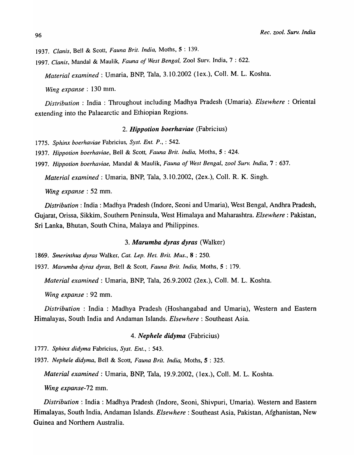<sup>96</sup>*Rec. zool. Surv. India* 

1937. Clanis, Bell & Scott, *Fauna Brit. India*, Moths, 5: 139.

1997. *Clan is,* MandaI & Maulik, *Fauna of West Bengal,* Zool Surv. India, 7 : 622.

*Material examined:* Umaria, BNP, Tala, 3.10.2002 (lex.), ColI. M. L. Koshta.

*Wing expanse* : 130 mm.

*Distribution* : India : Throughout including Madhya Pradesh (Umaria). *Elsewhere* : Oriental extending into the Palaearctic and Ethiopian Regions.

#### *2. Hippotion boerhaviae* (Fabricius)

*1775. Sphinx boerhaviae* Fabricius, *Syst. Ent. P.,* : 542.

1937. Hippotion boerhaviae, Bell & Scott, *Fauna Brit. India*, Moths, 5: 424.

*1997. Hippotion boerhaviae,* MandaI & Maulik, *Fauna of West Bengal, zool Surv. India,* 7 : 637.

*Material examined:* Umaria, BNP, Tala, 3.10.2002, (2ex.), Co]]. R. K. Singh.

*Wing expanse* : 52 mm.

*Distribution:* India: Madhya Pradesh (Indore, Seoni and Umaria), West Bengal, Andhra Pradesh, Gujarat, Orissa, Sikkim, Southern Peninsula, West Himalaya and Maharashtra. *Elsewhere:* Pakistan, Sri Lanka, Bhutan, South China, Malaya and Philippines.

# *3. Marumba dyras dyras* (Walker)

*1869. Smerinthus dyras* Walker, *Cat. Lep. Het. Brit. Mus.,* 8 : 250.

*1937. Marumba dyras dyras,* Bell & Scott, *Fauna Brit. India,* Moths,S: 179.

*Material examined:* Umaria, BNP, Tala, 26.9.2002 (2ex.), Col1. M. L. Koshta.

*Wing expanse* : 92 mm.

*Distribution* : India : Madhya Pradesh (Hoshangabad and Umaria), Western and Eastern Himalayas, South India and Andaman Islands. *Elsewhere:* Southeast Asia.

#### *4. Nephele didyma* (Fabricius)

*1777. Sphinx didyma* Fabricius, *Syst. En!.,* : 543.

1937. Nephele didyma, Bell & Scott, *Fauna Brit. India*, Moths, 5: 325.

*Material examined:* Umaria, BNP, Tala, 19.9.2002, (lex.), ColI. M. L. Koshta.

*Wing expanse-*72 mm.

*Distribution:* India: Madhya Pradesh (Indore, Seoni, Shivpuri, Umaria). Western and Eastern Himalayas, South India, Andaman Islands. *Elsewhere:* Southeast Asia, Pakistan, Afghanistan, New Guinea and Northern Australia.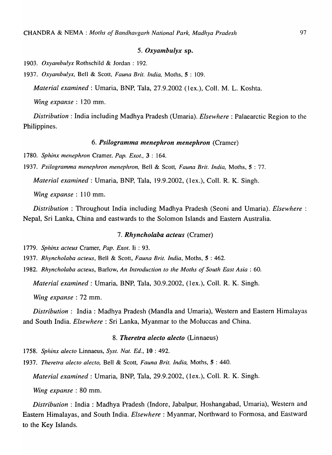#### *5. Oxyamhulyx* sp.

*1903. Oxyambulyx* Rothschild & Jordan: 192.

*1937. Oxyambulyx,* Bell & Scott, *Fauna Brit. India,* Moths, 5 : 109.

*Material examined:* Umaria, BNP, Tala, 27.9.2002 (lex.), ColI. M. L. Koshta.

*Wing expanse* : 120 mm.

*Distribution:* India including Madhya Pradesh (Umaria). *Elsewhere:* Palaearctic Region to the Philippines.

# *6. Psilogramma menephron menephron* (Cramer)

*1780. Sphinx menephron* Cramer, *Pap. Exot.,* 3 : 164.

*1937. Psilogramma menephron menephron,* Bell & Scott, *Fauna Brit. India,* Moths, 5 : 77.

*Material exanlined* : Umaria, BNP, Tala, 19.9.2002, (lex.), ColI. R. K. Singh.

*Wing expanse* : 110 mm.

*Distribution* : Throughout India including Madhya Pradesh (Seoni and Umaria). *Elsewhere* : Nepal, Sri Lanka, China and eastwards to the Solomon Islands and Eastern Australia.

#### *7. Rhyncholaha acteus* (Cramer)

*1779. Sphinx acteus* Cramer, *Pap. Exot.* Ii : 93.

1937. Rhyncholaba acteus, Bell & Scott, *Fauna Brit. India*, Moths, 5:462.

*1982. Rhyncholaba acteus,* Barlow, *An Introduction to the Moths of South East Asia: 60.* 

*Material examined:* Umaria, BNP, Tala, 30.9.2002, (lex.), ColI. R. K. Singh.

*Wing expanse* : 72 mm.

*Distribution:* India: Madhya Pradesh (Mandla and Umaria), Western and Eastern Himalayas and South India. *Elsewhere:* Sri Lanka, Myanmar to the Moluccas and China.

# *8. Theretra alecto alecto* (Linnaeus)

*1758. Sphinx alec to* Linnaeus, *Syst. Nat. Ed.,* **10** : 492.

*1937. Theretra alecto alecto,* Bell & Scott, *Fauna Brit. India,* Moths,S: 440.

*Material examined:* Umaria, BNP, Tala, 29.9.2002, (lex.), ColI. R. K. Singh.

*Wing expanse* : 80 mm.

*Distribution:* India: Madhya Pradesh (Indore, Jabalpur, Hoshangabad, Umaria), Western and Eastern Himalayas, and South India. *Elsewhere:* Myanmar, Northward to Formosa, and Eastward to the Key Islands.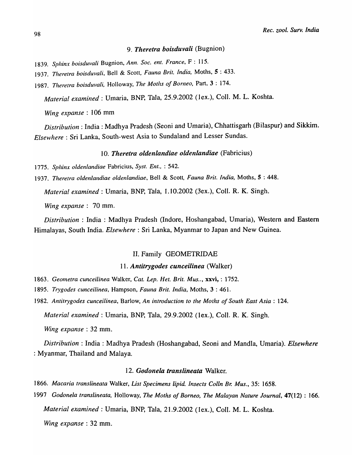# *9. Theretra boisduvali* (Bugnion)

- *1839. Sphinx boisduvali* Bugnion, *Ann. Soc. ent. France,* F : 115.
- *1937. Theretra boisduva/i,* Bell & Scott, *Fauna Brit. India,* Moths, 5 : 433.
- *1987. Theretra boisduvali,* Holloway, *The Moths of Borneo,* Part, 3 : 174.

*Material examined:* Umaria, BNP, Tala, 25.9.2002 (lex.), CoIl. M. L. Koshta.

*Wing expanse* : 106 mm

*Distribution:* India: Madhya Pradesh (Seoni and Umaria), Chhattisgarh (Bilaspur) and Sikkim. *Elsewhere:* Sri Lanka, South-west Asia to Sundaland and Lesser Sundas.

#### *10. Theretra oldenlandiae oldenlandiae* (Fabricius)

- *1775. Sphinx oldenlandiae* Fabricius, *Syst. Ent.,* : 542.
- 1937. Theretra oldenlandiae oldenlandiae, Bell & Scott, *Fauna Brit. India*, Moths, 5:448.

*Material examined:* Umaria, BNP, Tala, 1.10.2002 (3ex.), CoIl. R. K. Singh.

*Wing expanse:* 70 mm.

*Distribution* : India : Madhya Pradesh (Indore, Hoshangabad, Umaria), Western and Eastern Himalayas, South India. *Elsewhere:* Sri Lanka, Myanmar to Japan and New Guinea.

## II. Family GEOMETRIDAE

## 11. *Antitrygodes cunceilinea* (Walker)

- *1863. Geometra cunceilinea* Walker, *Cat. Lep. Het. Brit. Mus .. ,* xxvi, : 1752.
- *1895. Trygodes cunceilinea,* Hampson, *Fauna Brit. India,* Moths, 3 : 461.
- *1982. Antitrygodes cunceilinea,* Barlow, *An introduction to the Moths of South East Asia: 124.*

*Material examined:* Umaria, BNP, Tala, 29.9.2002 (lex.), ColI. R. K. Singh.

*Wing expanse:* 32 mm.

*Distribution:* India: Madhya Pradesh (Hoshangabad, Seoni and Mandla, Umaria). *Elsewhere*  : Myanmar, Thailand and Malaya.

#### 12. *Godonela translineata* Walker.

*1866. Macaria translineata* Walker, *List Specimens lipid. Insects Colin Br. Mus.,* 35: 1658.

*1997 Godonela translineata,* Holloway, *The Moths of Borneo, The Malayan Nature Journal,* 47(12) : 166. *Material examined:* Umaria, BNP, Tala, 21.9.2002 (lex.), Coil. M. L. Koshta.

*Wing expanse* : 32 mm.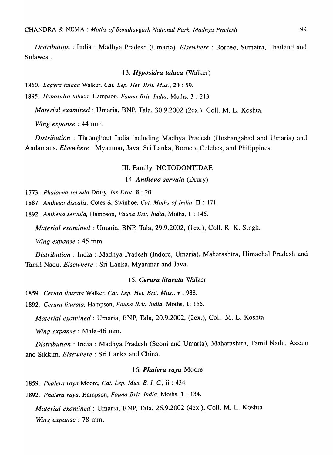*Distribution:* India: Madhya Pradesh (Umaria). *Elsewhere:* Borneo, Sumatra, Thailand and Sulawesi.

#### *13. Hyposidra talaca* (Walker)

*1860. Lagyra talaca* Walker, *Cat. Lep. Het. Brit. Mus.,* 20 : 59.

*1895. Hyposidra talaca.* Hampson, *Fauna Brit. India,* Moths, 3 : 213.

*Material examined:* Umaria, BNP, Tala, 30.9.2002 (2ex.), ColI. M. L. Koshta.

*Wing expanse:* 44 mm.

*Distribution* : Throughout India including Madhya Pradesh (Hoshangabad and Umaria) and Andamans. *Elsewhere:* Myanmar, Java, Sri Lanka, Borneo, Celebes, and Philippines.

## III. Family NOTODONTIDAE

#### *14. Antheua servula* (Drury)

*1773. Phalaena servula* Drury. *Ins Exot.* ii : 20.

*1887. Antheua discalis.* Cotes & Swinhoe, *Cat. Moths of India,* **II** : 171.

*1892. Antheua servula,* Hampson, *Fauna Brit. India,* Moths, 1 : 145.

*Material examined:* Umaria, BNP, Tala, 29.9.2002, (lex.), ColI. R. K. Singh.

*Wing expanse:* 45 mm.

*Distribution* : India : Madhya Pradesh (Indore, Umaria), Maharashtra, Himachal Pradesh and Tamil Nadu. *Elsewhere:* Sri Lanka, Myanmar and Java.

### *15. Cerura liturata* Walker

*1859. Cerura liturata* Walker, *Cat. Lep. Het. Brit. Mus.,* v : 988.

*1892. Cerura liturata.* Hampson, *Fauna Brit. India,* Moths, 1: 155.

*Material examined:* Umaria, BNP, Tala, 20.9.2002, (2ex.), CoIl. M. L. Koshta

*Wing expanse* : Male-46 mm.

*Distribution:* India: Madhya Pradesh (Seoni and Umaria), Maharashtra, Tamil Nadu, Assam and Sikkim. *Elsewhere:* Sri Lanka and China.

# *16. Phalera raya* Moore

*1859. Phalera raya* Moore, *Cat. Lep. Mus. E. I. C.,* ii : 434.

*1892. Phalera raya,* Hampson, *Fauna Brit. India,* Moths, 1 : 134.

*Material examined:* Umaria, BNP, Tala, 26.9.2002 (4ex.), ColI. M. L. Koshta. *Wing expanse* : 78 mm.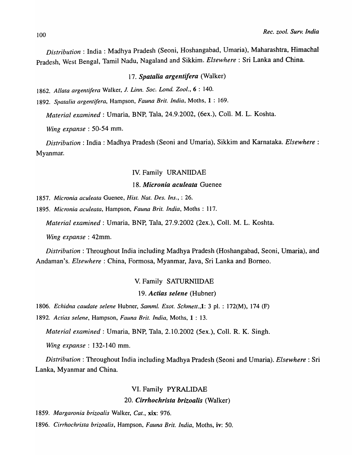*Distribution:* India: Madhya Pradesh (Seoni, Hoshangabad, Umaria), Maharashtra, Himachal-Pradesh, West Bengal, Tamil Nadu, Nagaland and Sikkim. *Elsewhere:* Sri Lanka and China.

*17. Spatalia argentifera* (Walker)

*1862. Allata argentifera* Walker, 1. *Linn. Soc. Lond. Zool.,* 6 : 140.

*1892. Spatalia argentifera,* Hampson, *Fauna Brit. India,* Moths, 1 : 169.

*Material examined* : Umaria, BNP, Tala, 24.9.2002, (6ex.), Coll. M. L. Koshta.

*Wing expanse* : 50-54 mm.

*Distribution:* India: Madhya Pradesh (Seoni and Umaria), Sikkim and Karnataka. *Elsewhere:*  Myanmar.

## IV. Family URANIIDAE

# *18. Micronia aculeata* Guenee

*1857. Micronia aculeata* Guenee, *Hist. Nat. Des. Ins.,* : 26.

*1895. Micronia aculeata,* Hampson, *Fauna Brit. India,* Moths: 117.

*Material examined:* Umaria, BNP, Tala, 27.9.2002 (2ex.), ColI. M. L. Koshta.

*Wing expanse* : 42mm.

*Distribution:* Throughout India including Madhya Pradesh (Hoshangabad, Seoni, Umaria), and Andaman's. *Elsewhere:* China, Formosa, Myanmar, Java, Sri Lanka and Borneo.

#### V. Family SATURNIIDAE

## *19. Actias selene* (Hubner)

*1806. Echidna caudate selene* Hubner, *Samml. Exot. Schmett.,1:* 3 pI. : 172(M), 174 (F)

*1892. Actias selene,* Hampson, *Fauna Brit. India,* Moths, 1 : 13.

*Material examined:* Umaria, BNP, Tala, 2.10.2002 (Sex.), ColI. R. K. Singh.

*Wing expanse:* 132-140 mm.

*Distribution:* Throughout India including Madhya Pradesh (Seoni and Umaria). *Elsewhere:* Sri Lanka, Myanmar and China.

# VI. Family PYRALIDAE

#### *20. Cirrhochrista brizoalis* (Walker)

*1859. Margaronia brizoalis* Walker, *Cat.,* xix: 976.

*1896. Cirrhochrista brizoalis,* Hampson, *Fauna Brit. India,* Moths, iv: 50.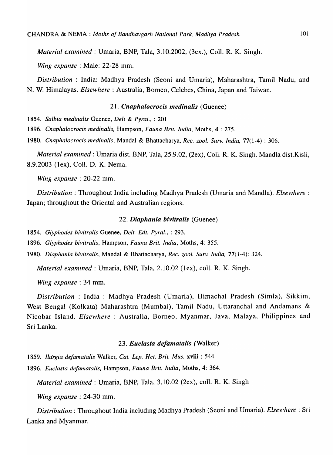*Material examined:* Umaria, BNP, Tala, 3.10.2002, (3ex.), ColI. R. K. Singh.

*Wing expanse:* Male: 22-28 mm.

*Distribution* : India: Madhya Pradesh (Seoni and Umaria), Maharashtra, Tamil Nadu, and N. W. Himalayas. *Elsewhere:* Australia, Borneo, Celebes, China, Japan and Taiwan.

# *21. Cnaphalocrocis medinalis* (Guenee)

*1854. Salbia medinalis* Guenee, *Delt* & *Pyral.,* : 201.

*1896. Cnaphalocrocis m edin a lis,* Hampson, *Fauna Brit. India,* Moths, 4 : 275.

*1980. Cnaphalocrocis medinalis,* MandaI & Bhattacharya, *Rec. zool. Surv. India,* 77(1-4) : 306.

*Material examined:* Umaria dist. BNP, Tala, 25.9.02, (2ex), ColI. R. K. Singh. Mandla dist.Kisli, 8.9.2003 (lex), CoIl. D. K. Nema.

*Wing expanse:* 20-22 mm.

*Distribution:* Throughout India including Madhya Pradesh (Umaria and Mandla). *Elsewhere:*  Japan; throughout the Oriental and Australian regions.

#### *22. Diaphania bivitralis* (Guenee)

*1854. Glyphodes bivitralis* Guenee, *Delt. Edt. Pyral.,* : 293.

*1896. Glyphodes bivitralis,* Hampson, *Fauna Brit. India,* Moths, 4: 355.

*1980. Diaphania bivitralis,* MandaI & Bhattacharya, *Rec. zool. Surv. India,* 77(1-4): 324.

*Material examined: Umaria, BNP, Tala, 2.10.02 (1ex), coll. R. K. Singh.* 

*Wing expanse* : 34 mm.

*Distribution* : India : Madhya Pradesh (Umaria), Himachal Pradesh (Simla), Sikkim, West Bengal (Kolkata) Maharashtra (Mumbai), Tamil Nadu, Uttaranchal and Andamans & Nicobar Island. *Elsewhere* : Australia, Borneo, Myanmar, Java, Malaya, Philippines and Sri Lanka.

#### *23. Euclasta defamatalis* (Walker)

*1859. Ib,trgia defamatalis* Walker, *Cat. Lep. Het. Brit. Mus.* xviii: 544.

*1896. Euclasta defamatalis,* Hampson, *Fauna Brit. India,* Moths, 4: 364.

*Material examined* : Umaria, BNP, Tala, 3.10.02 (2ex), coll. R. K. Singh

*Wing expanse:* 24-30 mm.

*Distribution:* Throughout India including Madhya Pradesh (Seoni and Umaria). *Elsewhere:* Sri Lanka and Myanmar.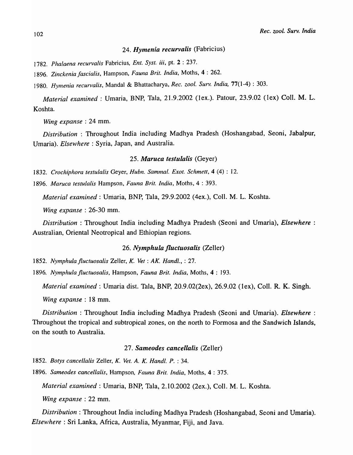# *24. Hymenia recurvalis* (Fabricius)

*1782. Phalaena recurvalis* Fabricius, *Ent. Syst. iii,* pt. 2 : 237.

*1896. Zinckenia jascialis,* Hampson, *Fauna Brit. India,* Moths, 4 : 262.

*1980. Hymenia recurvalis,* MandaI & Bhattacharya, *Rec. zool. Surv. India,* 770-4) : 303.

*Material exanlined* : Umaria, BNP, Tala, 21.9.2002 (lex.). Patour, 23.9.02 (lex) CoIl. M. L. Koshta.

*Wing expanse* : 24 mm.

*Distribution:* Throughout India including Madhya Pradesh (Hoshangabad, Seoni, Jabalpur, Umaria). *Elsewhere:* Syria, Japan, and Australia.

#### *25. Maruca testulalis* (Geyer)

*1832. Crochiphora testulalis* Geyer, *Hubn. Sammal. Exot. Schmett,* 4 (4) : 12.

*1896. Maruca testulalis* Hampson, *Fauna Brit. India,* Moths, 4 : 393.

*Material examined:* Umaria, BNP, Tala, 29.9.2002 (4ex.), CoIl. M. L. Koshta.

*Wing expanse* : 26-30 mm.

*Distribution* : Throughout India including Madhya Pradesh (Seoni and Umaria), *Elsewhere* : Australian, Oriental Neotropical and Ethiopian regions.

## *26. Nymphula fluctuosalis* (Zeller)

*1852. Nymphula Jluctuosalis* Zeller, *K. Vet: AK. Handl.,* : 27.

*1896. Nymphula Jluctuosalis,* Hampson, *Fauna Brit. India,* Moths, 4 : 193.

*Material examined:* Umaria dist. Tala, BNP, 20.9.02(2ex), 26.9.02 (lex), CoIl. R. K. Singh.

*Wing expanse* : 18 mm.

*Distribution:* Throughout India including Madhya Pradesh (Seoni and Umaria). *Elsewhere:*  Throughout the tropical and subtropical zones, on the north to Formosa and the Sandwich Islands, on the south to Australia.

## *27. Sameodes cancellalis* (Zeller)

*1852. Botys cancellalis* Zeller, *K. Vet. A. K. Hand!. P.* : 34.

*1896. Sameodes cancellalis,* Hampson, *Fauna Brit. India,* Moths, 4 : 375.

*Material examined:* Umaria, BNP, Tala, 2.10.2002 (2ex.), CoIl. M. L. Koshta.

*Wing expanse* : 22 mm.

*Distribution:* Throughout India including Madhya Pradesh (Hoshangabad, Seoni and Umaria). *Elsewhere:* Sri Lanka, Africa, Australia, Myanmar, Fiji, and Java.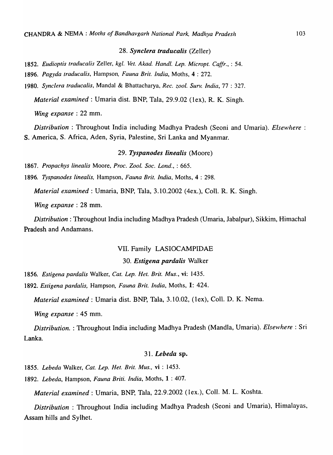## *28. Synclera traducalis* (Zeller)

- 1852. *Eudioptis traducalis* ZeIJer, *kgl. Vet. Akad. Handl. Lep. Micropt. Caffr.,* : 54.
- 1896. *Pagyda traducalis,* Hampson, *Fauna Brit. India,* Moths, 4 : 272.
- 1980. *Synclera traducalis,* MandaI & Bhattacharya, *Rec. zool. Surv. India,* 77 : 327.

*Material examined:* Umaria dist. BNP, Tala, 29.9.02 (lex), R. K. Singh.

*Wing expanse* : 22 mm.

*Distribution:* Throughout India including Madhya Pradesh (Seoni and Umaria). *Elsewhere :*  S. America, S. Africa, Aden, Syria, Palestine, Sri Lanka and Myanmar.

## *29. Tyspanodes linealis* (Moore)

1867. *Propachys linealis* Moore, *Proc. 200l. Soc. Lond.,* : 665.

1896. *Tyspanodes linealis,* Hampson, *Fauna Brit. India,* Moths, 4 : 298.

*Material examined:* Umaria, BNP, Tala, 3.10.2002 (4ex.), Coil. R. K. Singh.

*Wing expanse* : 28 mm.

*Distribution:* Throughout India including Madhya Pradesh (Umaria, Jabalpur), Sikkim, Himachal Pradesh and Andamans.

#### VII. Family LASIOCAMPIDAE

### *30. Estigena pardalis* Walker

1856. *Estigena pardalis* Walker, *Cat. Lep. Het. Brit. Mus.,* vi: 1435.

1892. *Estigena pardalis,* Hampson, *Fauna Brit. India,* Moths, 1: 424.

*Material examined:* Umaria dist. BNP, Tala, 3.10.02, (lex), Coil. D. K. Nema.

*Wing expanse* : 45 mm.

*Distribution.* : Throughout India including Madhya Pradesh (Mandla, Umaria). *Elsewhere:* Sri Lanka.

#### *31. Lebeda* sp.

1855. *Lebeda* Walker, *Cat. Lep. Het. Brit. Mus.,* vi : 1453.

1892. *Lebeda, Hampson, Fauna Briti. India, Moths, 1:407.* 

*Material examined:* Umaria, BNP, Tala, 22.9.2002 (lex.), ColI. M. L. Koshta.

*Distribution* : Throughout India including Madhya Pradesh (Seoni and Umaria), Himalayas, Assam hills and Sylhet.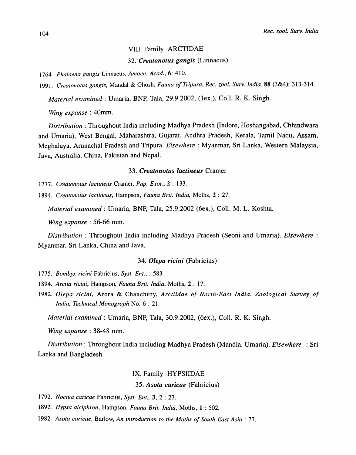## VIII. Family ARCTIDAE

*32. Creatonotus gangis* (Linnaeus)

*1764. Phalaena gang is* Linnaeus, *Amoen. Acad.,* 6: 410.

*1991. Creatonotus gangis,* Mandai & Ghosh, *Fauna of Tripura, Rec. zool. Surv. India,* 88 (3&4): 313-314.

*Material examined:* Umaria, BNP, Tala, 29.9.2002, (lex.), Coli. R. K. Singh.

*Wing expanse* : 40mm.

*Distribution:* Throughout India including Madhya Pradesh (Indore, Hoshangabad, Chhindwara and Umaria), West Bengal, Maharashtra, Gujarat, Andhra Pradesh, Kerala, Tamil Nadu, Assam, Meghalaya, Arunachal Pradesh and Tripura. *Elsewhere:* Myanmar, Sri Lanka, Western Malaysia, Java, Australia, China, Pakistan and Nepal.

# *33. Creatonotus lactineus* Cramer

*1777. Creatonotus lactineus* Cramer, *Pap. Exot.,* 2 : 133.

*1894. Creatonotus* lactineu~, Hampson, *Fauna Brit. India,* Moths, 2 : 27.

*Material examined:* Umaria, BNP, Tala, 25.9.2002 (6ex.), Coll. M. L. Koshta.

*Wing expanse* : 56-66 mm.

*Distribution* : Throughout India including Madhya Pradesh (Seoni and Umaria). *Elsewhere :*  Myanmar, Sri Lanka, China and Java.

# *34. Olepa ricini* (Fabricius)

*1775. Bombyx ricini* Fabricius, *Syst. En!.,* : 583.

- *1894. Arctia ricini,* Hampson, *Fauna Brit. India,* Moths, 2 : 17.
- *1982. Olepa ricini,* Arora & Chauchury, *Arctiidae of North-East India, Zoological Survey of India, Technical Monograph* No.6: 21.

*Material examined:* Umaria, BNP, Tala, 30.9.2002, (6ex.), ColI. R. K. Singh.

*Wing expanse:* 38-48 mm.

*Distribution*: Throughout India including Madhya Pradesh (Mandla, Umaria). *Elsewhere* : Sri Lanka and Bangladesh.

#### IX. Family HYPSIIDAE

*35. Asota caricae* (Fabricius)

*1792. Noctua caricae* Fabricius, *Syst. Ent.,* 3, 2 : 27.

- *1892. Hypsa alciphron,* Hampson, *Fauna Brit. India,* Moths, 1 : 502.
- *1982. Asota caricae,* Barlow, *An introduction to the Moths of South East Asia: 77.*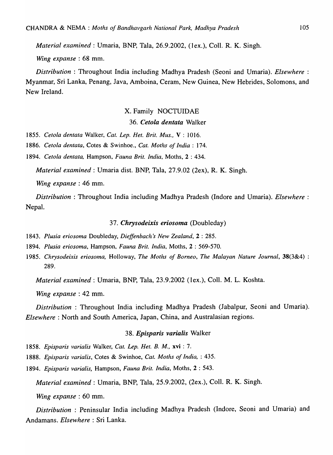*Material examined:* Umaria, BNP, Tala, 26.9.2002, (lex.), ColI. R. K. Singh.

*Wing expanse* : 68 mm.

*Distribution* : Throughout India including Madhya Pradesh (Seoni and Umaria). *Elsewhere* : Myanmar, Sri Lanka, Penang, Java, Amboina, Ceram, New Guinea, New Hebrides, Solomons, and New Ireland.

# X. Family NOCTUIDAE

# 36. Cetola dentata Walker

*1855. Cetola dentata* Walker, *Cat. Lep. Het. Brit. Mus.,* V : 1016.

*1886. Cetola dentata,* Cotes & Swinhoe., *Cat. Moths of India: 174.* 

*1894. Cetola dentata,* Hampson, *Fauna Brit. India,* Moths, 2 : 434.

*Material examined:* Umaria dist. BNP, Tala, 27.9.02 (2ex), R. K. Singh.

*Wing expanse* : 46 mm.

*Distribution* : Throughout India including Madhya Pradesh (Indore and Umaria). *Elsewhere* : Nepal.

#### *37. Chrysodeixis eriosoma* (Doubleday)

- *1843. Plusia eriosoma* Doubleday, *Dieffenbach s New Zealand,* 2 : 285.
- *1894. Plusia eriosoma,* Hampson, *Fauna Brit. India,* Moths, 2 : 569-570.
- *1985. Chrysodeixis eriosoma,* Holloway, *The Moths of Borneo, The Malayan Nature Journal,* 38(3&4) : 289.

*Material examined:* Umaria, BNP, Tala, 23.9.2002 (lex.), ColI. M. L. Koshta.

*Wing expanse* : 42 mm.

*Distribution:* Throughout India including Madhya Pradesh (Jabalpur, Seoni and Umaria). *Elsewhere:* North and South America, Japan, China, and Australasian regions.

# *38. Episparis varia lis* Walker

*1858. Episparis varialis* Walker, *Cat. Lep. Het. B. M.,* xvi: 7.

*1888. Episparis va ria lis* , Cotes & Swinhoe, *Cat. Moths of India,* : 435.

*1894. Episparis varialis,* Hampson, *Fauna Brit. India,* Moths, 2 : 543.

*Material examined:* Umaria, BNP, Tala, 25.9.2002, (2ex.), ColI. R. K. Singh.

*Wing expanse* : 60 mm.

*Distribution* : Peninsular India including Madhya Pradesh (Indore, Seoni and Umaria) and Andamans. *Elsewhere:* Sri Lanka.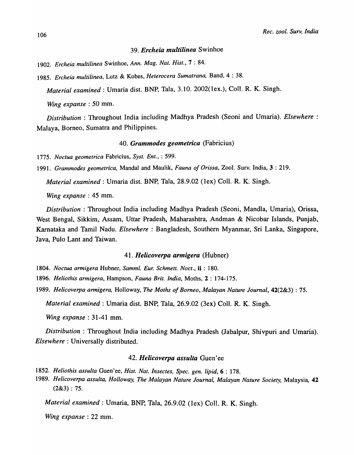## *39. Ercheia multilinea* Swinhoe

*1902. Ercheia multilinea* Swinhoe, *Ann. Mag. Nat. Hist.,* 7 : 84.

*1985. Ereheia multilinea,* Lutz & Kobes, *Heteroeera Sumatrana,* Band, 4 : 38.

*Material examined:* Umaria dist. BNP, Tala, 3.10. 2002(lex.), Coli. R. K. Singh.

*Wing expanse* : 50 mm.

*Distribution* : Throughout India including Madhya Pradesh (Seoni and Umaria). *Elsewhere* : Malaya, Borneo, Sumatra and Philippines.

## *40. Grammodes geometrica* (Fabricius)

*1775. Noetua geometriea* Fabricius, *Syst. Ent.,* : 599.

*1991. Grammodes geometrica,* MandaI and Maulik, *Fauna oj Orissa,* Zool. Surv. India, 3 : 219.

*Material examined:* Umaria dist. BNP, Tala, 28.9.02 (lex) Col1. R. K. Singh.

*Wing expanse* : 45 mm.

*Distribution* : Throughout India including Madhya Pradesh (Seoni, Mandla, Umaria), Orissa, West Bengal, Sikkim, Assam, Uttar Pradesh, Maharashtra, Andman & Nicobar Islands, Punjab, Karnataka and Tamil Nadu. *Elsewhere:* Bangladesh, Southern Myanmar, Sri Lanka, Singapore, Java, Pulo Lant and Taiwan.

#### *41. Helicoverpa armigera* (Hubner)

*1804. Noctua armigera* Hubner, *Samml. Eur. Schmett. Noet.,* ii : 180.

*1896. Heliothis armigera,* Hampson, *Fauna Brit. India,* Moths, 2 : 174-175.

*1989. Helicoverpa armigera,* Holloway, *The Moths of Borneo, Malayan Nature Journal,* 42(2&3) : 75.

*Material examined:* Umaria dist. BNP, Tala, 26.9.02 (3ex) ColI. R. K. Singh.

*Wing expanse* : 31-41 mm.

*Distribution:* Throughout India including Madhya Pradesh (Jabalpur, Shivpuri and Umaria). *Elsewhere:* Universally distributed.

## *42. Helicoverpa assulta* Guen'ee

*1852. Heliothis assulta* Guen'ee, *Hist. Nat. lnsectes, Spec. gen. lipid,* 6 : 178.

*1989. Helicoverpa assulta, Holloway, The Malayan Nature Journal, Malayan Nature Society,* Malaysia, 42  $(2&3): 75.$ 

*Material examined:* Umaria, BNP, Tala, 26.9.02 (lex) CoIl. R. K. Singh.

*Wing expanse* : 22 mm.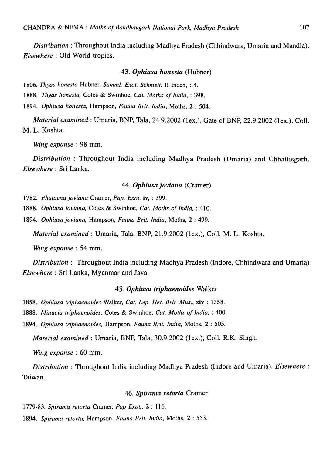*Distribution:* Throughout India including Madhya Pradesh (Chhindwara, Umaria and Mandla). *Elsewhere:* Old World tropics.

#### *43. Ophiusa honesta* (Hubner)

*1806. Thyas honesta* Hubner, *Samml. Exot. Schmett.* II Index, : 4.

*1888. Thyas honesta,* Cotes & Swinhoe, *Cat. Moths of India,* : 398.

*1894. Ophiusa honesta,* Hampson, *Fauna Brit. India,* Moths, 2 : 504.

*Material examined:* Umaria, BNP, Tala, 24.9.2002 (lex.), Gate of BNP, 22.9.2002 (lex.), CoIl. M. L. Koshta.

*Wing expanse* : 98 mm.

*Distribution* : Throughout India including Madhya Pradesh (Umaria) and Chhattisgarh. *Elsewhere:* Sri Lanka.

# *44. Ophiusa joviana* (Cramer)

1782. *Phalaena joviana* Cramer, *Pap. Exot.* **iv,** : 399.

*1888. Ophiusa joviana,* Cotes & Swinhoe, *Cat. Moths of India,* : 410.

*1894. Ophiusa joviana,* Hampson, *Fauna Brit. India,* Moths, 2 : 499.

*Material examined:* Umaria, Tala, BNP, 21.9.2002 (lex.), CoIl. M. L. Koshta.

*Wing expanse* : 54 mm.

*Distribution:* Throughout India including Madhya Pradesh (Indore, Chhindwara and Umaria) *Elsewhere:* Sri Lanka, Myanmar and Java.

## *45. Ophiusa triphaenoides* Walker

*1858. Ophiusa triphaenoides* Walker, *Cat. Lep. Het. Brit. Mus.,* xiv: 1358.

*1888. Minucia triphaenoides,* Cotes & Swinhoe, *Cat. Moths of India,* : 400.

*1894. Ophiusa triphaenoides,* Hampson, *Fauna Brit. India,* Moths, 2 : 505.

*Material examined:* Umaria, BNP, Tala, 30.9.2002 (lex.), CoIl. R.K. Singh.

*Wing expanse* : 60 mm.

*Distribution:* Throughout India including Madhya Pradesh (Indore and Umaria). *Elsewhere:*  Taiwan.

#### *46. Spirama retorta* Cramer

*1779-83. Spirama retorta* Cramer, *Pap Exot.,* 2 : 116.

*1894. Spirama retorta,* Hampson, *Fauna Brit. India,* Moths, 2 : 553.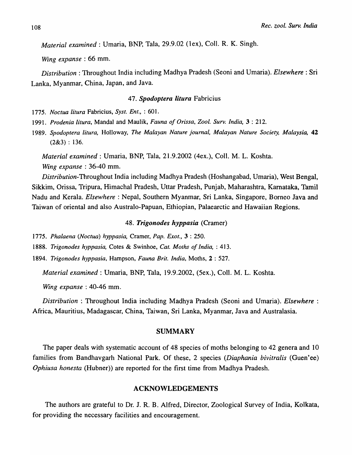*Material examined* : Umaria, BNP, Tala, 29.9.02 (1ex), Coll. R. K. Singh.

*Wing expanse:* 66 mm.

*Distribution:* Throughout India including Madhya Pradesh (Seoni and Umaria). *Elsewhere:* Sri Lanka, Myanmar, China, Japan, and Java.

## *47. Spodoptera litura* Fabricius

*1775. Noctua litura* Fabricius, *Syst. Ent.,* : 601.

*1991. Prodenia litura,* MandaI and Maulik, *Fauna of Orissa, Zool. Surv. India,* 3 : 212.

*1989. Spodoptera litura,* Holloway, *The Malayan Nature journal, Malayan Nature Society, Malaysia, 42*   $(2&3):136.$ 

*Material examined: Umaria, BNP, Tala, 21.9.2002 (4ex.), Coll. M. L. Koshta. Wing expanse* : 36-40 mm.

*Distribution-Throughout* India including Madhya Pradesh (Hoshangabad, Umaria), West Bengal, Sikkim, Orissa, Tripura, Himachal Pradesh, Uttar Pradesh, Punjab, Maharashtra, Karnataka, Tamil Nadu and Kerala. *Elsewhere:* Nepal, Southern Myanmar, Sri Lanka, Singapore, Borneo Java and Taiwan of oriental and also Australo-Papuan, Ethiopian, Palaearctic and Hawaiian Regions.

#### *48. Trigonodes hyppasia* (Cramer)

*1775. Phalaena (Noctua) hyppasia,* Cramer, *Pap. Exot.,* 3 : 250.

*1888. Trigonodes hyppasia,* Cotes & Swinhoe, *Cat. Moths of India,* : 413.

*1894. Trigonodes hyppasia,* Hampson, *Fauna Brit. India,* Moths, 2 : 527.

*Material examined: Umaria, BNP, Tala, 19.9.2002, (5ex.), Coll. M. L. Koshta.* 

*Wing expanse* : 40-46 mm.

*Distribution* : Throughout India including Madhya Pradesh (Seoni and Umaria). *Elsewhere* : Africa, Mauritius, Madagascar, China, Taiwan, Sri Lanka, Myanmar, Java and Australasia.

# SUMMARY

The paper deals with systematic account of 48 species of moths belonging to 42 genera and 10 families from Bandhavgarh National Park. Of these, 2 species *(Diaphania bivitralis* (Guen'ee) *Ophiusa honesta* (Hubner) are reported for the first time from Madhya Pradesh.

#### ACKNOWLEDGEMENTS

The authors are grateful to Dr. J. R. B. Alfred, Director, Zoological Survey of India, Kolkata, for providing the necessary facilities and encouragement.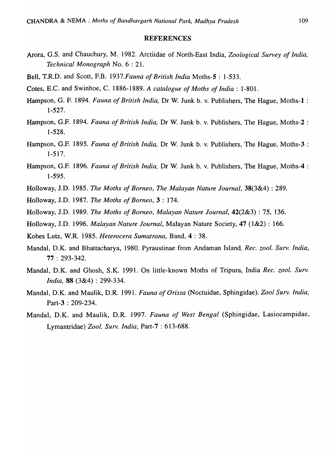## REFERENCES

- Arora, G.S. and Chauchury, M. 1982. Arctiidae of North-East India, *Zoological Survey of India, Technical Monograph* No.6: 21.
- Bell, T.R.D. and Scott, F.B. *1937.Fauna of British India* Moths-5 : 1-533.
- Cotes, E.C. and Swinhoe, C. 1886-1889. *A catalogue of Moths of India: 1-801.*
- Hampson, G. F. 1894. *Fauna of British India,* Dr W. Junk b. v. Publishers, The Hague, Moths-I: 1-527.
- Hampson, G.F. 1894. *Fauna of British India,* Dr W. Junk b. v. Publishers, The Hague, Moths-2 : 1-528.
- Hampson, G.F. 1895. *Fauna of British India,* Dr W. Junk b. v. Publishers, The Hague, Moths-3 : 1-517.
- Hampson, G.F. 1896. *Fauna of British India,* Dr W. Junk h. v. Publishers, The Hague, Moths-4 : 1-595.
- Holloway, J.D. 1985. *The Moths of Borneo, The Malayan Nature Journal,* 38(3&4) : 289.
- Holloway, J.D. 1987. *The Moths of Borneo,* 3 : 174.
- Holloway, J.D. 1989. *The Moths of Borneo, Malayan Nature Journal,* 42(2&3) : 75, 136.
- Holloway, J.D. 1996. *Malayan Nature Journal,* Malayan Nature Society, 47 (1&2) : 166.
- Kobes Lutz, W.R. 1985. *Heterocera Sumatrana,* Band, 4 : 38.
- MandaI, D.K. and Bhattacharya, 1980. Pyraustinae from Andaman Island, *Rec. zool. Surv. India,*  77 : 293-342.
- MandaI, D.K. and Ghosh, S.K. 1991. On little-known Moths of Tripura, India *Rec. zool. Surv. India,* 88 (3&4) : 299-334.
- MandaI, D.K. and Maulik, D.R. 1991. *Fauna of Orissa* (Noctuidae, Sphingidae). *Zool Surv. India,*  Part-3 : 209-234.
- MandaI, D.K. and MauIik, D.R. 1997. *Fauna of West Bengal* (Sphingidae, Lasiocampidae, Lymantridae) *Zool. Surv. India,* Part-7 : 613-688.